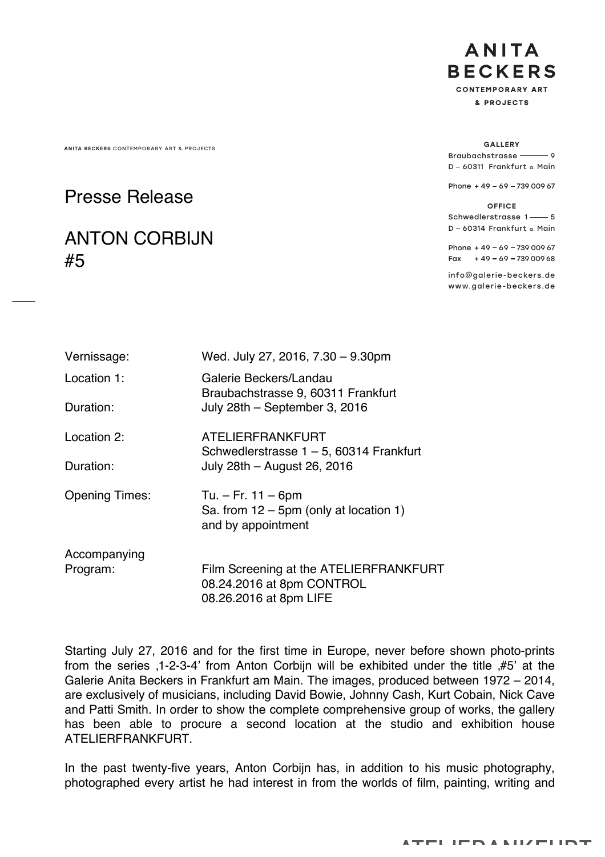ANITA BECKERS CONTEMPORARY ART & PROJECTS GALLERY

## Presse Release

## ANTON CORBIJN #5

**ANITA BECKERS CONTEMPORARY ART** & PROJECTS

Braubachstrasse – 9 D - 60311 Frankfurt a. Main

Phone  $+49 - 69 - 73900967$ 

OFFICE Schwedlerstrasse 1-6 D - 60314 Frankfurt a. Main

Phone  $+49 - 69 - 73900967$ Fax  $+49 - 69 - 73900968$ 

info@galerie-beckers.de www.galerie-beckers.de

| Vernissage:           | Wed. July 27, 2016, 7.30 - 9.30pm                                                             |
|-----------------------|-----------------------------------------------------------------------------------------------|
| Location 1:           | Galerie Beckers/Landau<br>Braubachstrasse 9, 60311 Frankfurt                                  |
| Duration:             | July 28th - September 3, 2016                                                                 |
| Location 2:           | ATELIERFRANKFURT<br>Schwedlerstrasse $1 - 5$ , 60314 Frankfurt                                |
| Duration:             | July 28th - August 26, 2016                                                                   |
| <b>Opening Times:</b> | Tu. $-$ Fr. 11 $-$ 6pm<br>Sa. from $12 - 5$ pm (only at location 1)<br>and by appointment     |
| Accompanying          |                                                                                               |
| Program:              | Film Screening at the ATELIERFRANKFURT<br>08.24.2016 at 8pm CONTROL<br>08.26.2016 at 8pm LIFE |

Starting July 27, 2016 and for the first time in Europe, never before shown photo-prints from the series ,1-2-3-4' from Anton Corbijn will be exhibited under the title ,#5' at the Galerie Anita Beckers in Frankfurt am Main. The images, produced between 1972 – 2014, are exclusively of musicians, including David Bowie, Johnny Cash, Kurt Cobain, Nick Cave and Patti Smith. In order to show the complete comprehensive group of works, the gallery has been able to procure a second location at the studio and exhibition house ATELIERFRANKFURT.

In the past twenty-five years, Anton Corbijn has, in addition to his music photography, photographed every artist he had interest in from the worlds of film, painting, writing and